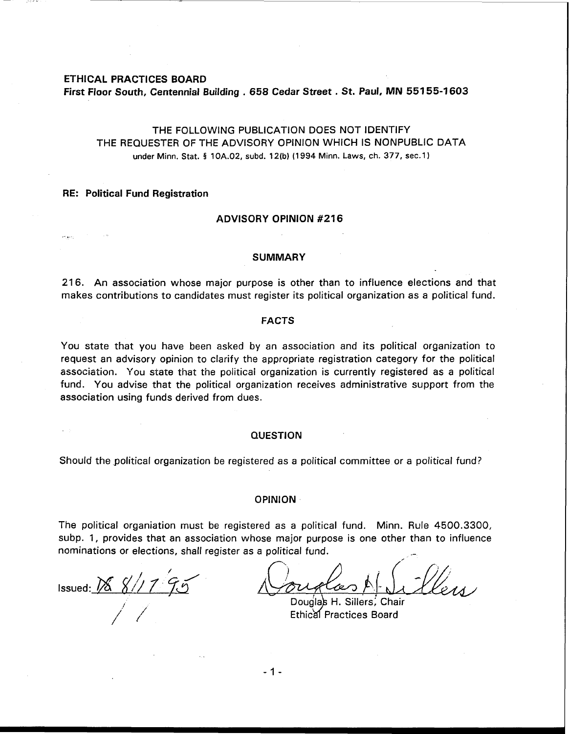## ETHICAL PRACTICES BOARD

First Floor South, Centennial Building . 658 Cedar Street . St. Paul, MN **551 55-1 603** 

# THE FOLLOWING PUBLICATION DOES NOT IDENTIFY THE REQUESTER OF THE ADVISORY OPINION WHICH IS NONPUBLIC DATA under Minn. Stat. **5 10A.02, subd. 12(b) (1 994 Minn. Laws, ch. 377, sec.1)**

## RE: Political Fund Registration

 $\mathcal{E}^{\mu}$  ,  $\mathcal{E}^{\mu}$  ,  $\mathcal{E}^{\mu}_{\nu}$ 

#### ADVISORY OPINION **#216**

#### SUMMARY

216. An association whose major purpose is other than to influence elections and that makes contributions to candidates must register its political organization as a political fund.

#### FACTS

You state that you have been asked by an association and its political organization to request an advisory opinion to clarify the appropriate registration category for the political association. You state that the political organization is currently registered as a political fund. You advise that the political organization receives administrative support from the association using funds derived from dues.

### **QUESTION**

Should the political organization be registered as a political committee or a political fund?

#### OPINION

The political organiation must be registered as a political fund. Minn. Rule 4500.3300, subp. 1, provides that an association whose major purpose is one other than to influence<br>nominations or elections, shall register as a political fund. nominations or elections, shall register as a political fund.

Issued:  $\frac{1}{8}$   $\frac{1}{2}$ 

 $\overline{\phantom{a}}$ 

Douglas H. Sillers, Chair Ethical Practices Board

 $-1 -$